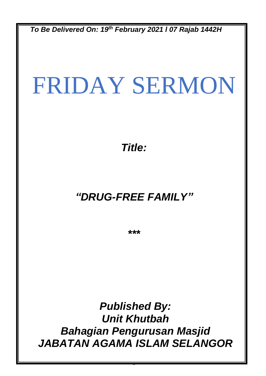*To Be Delivered On: 19 th February 2021 l 07 Rajab 1442H*

# FRIDAY SERMON

*Title:*

## *"DRUG-FREE FAMILY"*

*\*\*\**

*Published By: Unit Khutbah Bahagian Pengurusan Masjid JABATAN AGAMA ISLAM SELANGOR*

0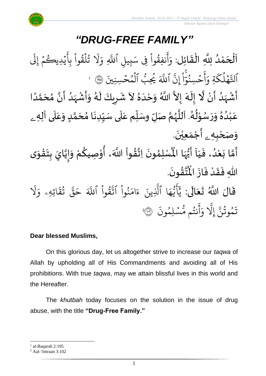

ا<br>إ نة<br>ا اَلْحَمْدُ لِلَّهِ الْقَائِل: وَأَنفِقُواْ و<br>و ْ  $\overline{\phantom{a}}$ ֦֧֦֧֦֦֧֦֧֦֧֦֦֦֧֦֧֦֧֦֧֦֧֦֝֟֓֟֓֟֓֟֓֟֓֟֓֟֓֟֓֟֓֟֓֟֓֟֓֟֩֕֟֓֟֩֕֟֓֟֓֟֓֟֓֟֟֓֟֓֟֓֟֟֓֟֓֟֓֟֓֟֩֩֩֟  $\overline{\phantom{a}}$  $\frac{1}{2}$ ֦֧֦֧֦֧֦֧֦֧֦֧֦֧֜֜֜֜֓֓֟֓֟֓֜֜֜֜֜<br>֧֝֜֜**֓**  $\frac{1}{1}$ و<br>په د ِ<br>ج أ  $\frac{1}{\alpha}$ وَأَنفِقُوا فِي سَبِيلِ ِ<br>م فِی سَبِیلِ اللّٰہِ یہ<br>ا اللَّهِ ر<br>1 يُدِيڪُمْ إِلَى  $\frac{1}{2}$ و  $\ddot{\phantom{0}}$ ِ<br>ج تُلقَوا بِا  $\tilde{a}$ ر ہ<br>1 و<br>په ر<br>1 َل  $\frac{1}{2}$ و ةِ ر<br>ح ك ل ه و<br>ا ہ<br>م ِ<br>په مو ٱتل ىد<br>پ ِن إ ֦֧<u>֔</u>  $\ddot{\cdot}$ ا ن<br>م حۡسِنُوٓ ُو<br>و  $\frac{1}{2}$ ِ<br>ج أ  $\frac{1}{c}$ و ہ<br>آکے اللَّهَ و<br>س يُحِبُّ ٱلۡمُحۡسِنِينَ ۞ ا و<br>م  $\frac{1}{2}$ و ہ<br>ا َ<br>الأ أَشْهَدُ أَنْ لَّا إِلَهَ إِلاَّ اللَّهُ وَحْدَهُ لاَ شَرِيكَ لَهُ وَأَشْهَدُ أَنَّ مُحَمَّدًا ំ<br>• ِ<br>پنج و<br>ا  $\frac{1}{2}$ ْ े<br>नि ं<br>-<br>न ِ<br>په  $\frac{1}{2}$ ً<br>أ ل<br>م  $\frac{1}{\lambda}$ ا<br>م<br>•  $\sum_{i=1}^{n}$ و<br>ا ر<br>زن ْ  $\sum_{i=1}^{n}$  $\tilde{\cdot}$ ء<br>ا ً<br>م  $\overline{\phantom{a}}$  $\ddot{\phantom{0}}$  $\lambda$  $\frac{2}{\lambda}$ َ<br>ا  $\frac{1}{2}$ الم  $\frac{1}{2}$ عَبْدُهُ وَرَسُوْلُهُ. اَللَّهُمَّ صَلِّ وسَلِّم عَلَى سَيِّدِنَا مُحَمَّدٍ وَعَلَى آلِه<sub>ِ ــُ</sub> ٍ<br>و ْ ً<br>م  $\overline{\mathbf{r}}$ ِ<br>م  $\tilde{\cdot}$ <u>لم</u> ر<br>آ ๋<br>ጎ  $\ddot{\phantom{0}}$  $\frac{1}{1}$ َ<br>آ  $\frac{1}{2}$ ĭ انة<br>م ر<br>ر<br>ر نز<br>آ ً<br>آ .<br>بر ይ<br>የ ់<br>្ ر<br>ر  $\overline{\phantom{a}}$  $\tilde{\cdot}$ و*َص<sub>َ</sub>حْبِهِ <sub>ۦ</sub> أَجْمَعِيْنَ.* ْ  $\ddot{\phantom{0}}$ ់<br>(  $\tilde{a}$  $\tilde{\mathbf{r}}$ -<br>أَمَّا بَعْدُ، فَيَا أَيُّهَا الْمُسْلِمُونَ  $\frac{1}{1}$  $\frac{1}{2}$ ُ<br>و ْ<br>ْ  $\tilde{\cdot}$ لة<br>م ِ<br>پنج  $\ddot{\phantom{0}}$ }<br>ለ أَيُّهَا الْمُسْلِمُونَ اِتَّقُواْ اللَّهَ، أُوْصِيكُمْ وَإِيَّايَ بِتَقْوَى ِ<br>اس <sup>ہ</sup><br>• ें<br>ने  $\tilde{\cdot}$ ֦֧<u>֦</u>  $\ddot{\phantom{0}}$  $\frac{1}{2}$ ا<br>ا !<br>...  $\tilde{\cdot}$ ر<br>م ֦֧֦֧֦ **ہے**<br>' ؗ<br>ا **ہیں** الله .  $\ddot{\phantom{0}}$ ؾڤؤنَ  $\frac{9}{1}$ ا<br>ایر<br>جو ہ<br>ا اللّٰهِ فَقَدْ فَازَ الْمُ  $\ddot{\cdot}$  $\ddot{\cdot}$ ْ  $\frac{1}{2}$  $\ddot{\cdot}$ قَالَ اللَّهُ تَعَالَى:  $\ddot{\mathbf{r}}$ ِ<br>ا  $\frac{1}{2}$  $\ddot{\phantom{0}}$ ر<br>1 َل ر<br>ہ اتِهِۦ و  $\ddot{\tilde{}}$ ق ت و<br>په ین<br>مو قی  $\tilde{\phantom{a}}$ ح ہ<br>آکھ قُوا اللَّهَ  $\ddot{\phantom{0}}$ ور ِ<br>په نُوا اڌّ  $\frac{1}{1}$ ُ  $\frac{1}{2}$ ام  $\tilde{\epsilon}$ ء ِينَ یہ<br>۱ ا الَّذِ ِ<br>م ه و<br>د سَ<br>ڊ ۔<br>ج  $\sqrt{2}$ ِ<br>د ي  $\ddot{\cdot}$ سْلِمُونَ و  $\ddot{\phantom{0}}$ و<br>مم نتُم مَّ و<br>په ِ<br>ج أ  $\frac{1}{c}$ و ىد<br>1 َِل إ ِ<br>په تَمُوثُنَّ إِلَّا وَأَنتُم مُّسۡلِمُونَ ۞ و<br>په و 2

#### **Dear blessed Muslims,**

On this glorious day, let us altogether strive to increase our *taqwa* of Allah by upholding all of His Commandments and avoiding all of His prohibitions. With true *taqwa*, may we attain blissful lives in this world and the Hereafter.

The *khutbah* today focuses on the solution in the issue of drug abuse, with the title **"Drug-Free Family."**

 $<sup>1</sup>$  al-Baqarah 2:195</sup>

 $2$  Aal-'Imraan 3:102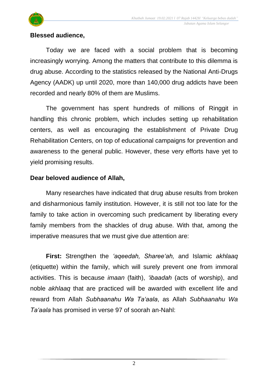

#### **Blessed audience,**

Today we are faced with a social problem that is becoming increasingly worrying. Among the matters that contribute to this dilemma is drug abuse. According to the statistics released by the National Anti-Drugs Agency (AADK) up until 2020, more than 140,000 drug addicts have been recorded and nearly 80% of them are Muslims.

The government has spent hundreds of millions of Ringgit in handling this chronic problem, which includes setting up rehabilitation centers, as well as encouraging the establishment of Private Drug Rehabilitation Centers, on top of educational campaigns for prevention and awareness to the general public. However, these very efforts have yet to yield promising results.

#### **Dear beloved audience of Allah,**

Many researches have indicated that drug abuse results from broken and disharmonious family institution. However, it is still not too late for the family to take action in overcoming such predicament by liberating every family members from the shackles of drug abuse. With that, among the imperative measures that we must give due attention are:

**First:** Strengthen the *'aqeedah, Sharee'ah,* and Islamic *akhlaaq* (etiquette) within the family, which will surely prevent one from immoral activities. This is because *imaan* (faith), *'ibaadah* (acts of worship), and noble *akhlaaq* that are practiced will be awarded with excellent life and reward from Allah *Subhaanahu Wa Ta'aala*, as Allah *Subhaanahu Wa Ta'aala* has promised in verse 97 of soorah an-Nahl: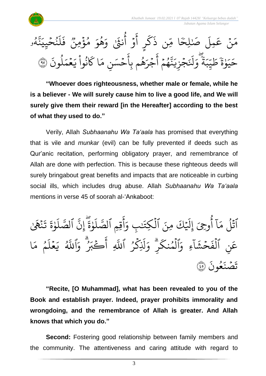



**"Whoever does righteousness, whether male or female, while he is a believer - We will surely cause him to live a good life, and We will surely give them their reward [in the Hereafter] according to the best of what they used to do."**

Verily, Allah *Subhaanahu Wa Ta'aala* has promised that everything that is vile and *munkar* (evil) can be fully prevented if deeds such as Qur'anic recitation, performing obligatory prayer, and remembrance of Allah are done with perfection. This is because these righteous deeds will surely bringabout great benefits and impacts that are noticeable in curbing social ills, which includes drug abuse. Allah *Subhaanahu Wa Ta'aala* mentions in verse 45 of soorah al-'Ankaboot:

و<br>ا ٱتْلُ مَآ أُوحِىَ إِلَيْكَ مِنَ  $\ddot{\mathbf{3}}$ وجِيَ إِلَيْهِ و<br>م أ  $\tilde{1}$ ا  $\frac{1}{2}$ مَا أُوحِيَ إِلَيْكَ مِنَ الْكِتَنْبِ َٰ  $\tilde{\cdot}$ الكِتَنبِ وَأَقِيمِ ہ<br>ا ِ<br>ج أ  $\frac{1}{c}$ و  $\frac{1}{2}$ ة و ે ر<br>آ  $\uplambda$ ىر<br>س الصَّلَوٰةَ یہ<br>• ِن إ  $\tilde{\mathbf{z}}$ ة و ે ر<br>آ  $\uplambda$ ىر<br>س ٱلصَّلَوٰةَ تَنْهَىٰ َٰ  $\ddot{\cdot}$  $\ddot{\cdot}$ ت ِ ن ِ<br>م عَنِ الْفَحْشَاءِ  $\tilde{1}$ ا  $\frac{1}{2}$ ش ح  $\frac{1}{2}$  $\ddot{\cdot}$ الفَخْشَاءِ ہ<br>ا َ<br>م  $\overline{a}$ وَالْمُنكرِ ر<br>م الْمُنكَرِّ ۖ وَلَٰذِكَرُ و ہ<br>1 ُ ر<br>ح  $\tilde{\mathfrak{f}}$ َّل  $\frac{1}{2}$ وَلَٰذِكِرُ اللَّهِ یہ<br>ا اللَّهِ .<br>م حے پ<sup>و</sup> وَ ُۗ ِ<br>ج أ ي<br>آھ اللَّهُ يَعْلَمُ مَا ِرِ و<br>حمٰ مَ و ر<br>آ ل ع  $\frac{1}{2}$ ِرِ ي  $\ddot{\cdot}$ مُونَ و<br>م  $\ddot{\cdot}$ ن صۡ َ تَصَنَعُونَ ۞

**"Recite, [O Muhammad], what has been revealed to you of the Book and establish prayer. Indeed, prayer prohibits immorality and wrongdoing, and the remembrance of Allah is greater. And Allah knows that which you do."**

**Second:** Fostering good relationship between family members and the community. The attentiveness and caring attitude with regard to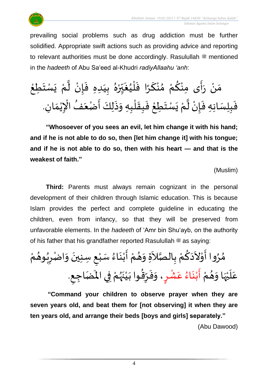

prevailing social problems such as drug addiction must be further solidified. Appropriate swift actions such as providing advice and reporting to relevant authorities must be done accordingly. Rasulullah  $*$  mentioned in the *hadeeth* of Abu Sa'eed al-Khudri *radiyAllaahu 'anh*:

 $\frac{1}{2}$ مَنْ رَأَى مِنْكُمْ مُنْكَرًا فَلْيُغَبِّرْهُ بِيَدِهِ فَإِنْ لَّمْ يَسْتَطِعْ ំ<br>•  $\frac{1}{2}$  $\frac{1}{2}$ ْ <u>و</u> ْ  $\frac{1}{2}$ ْ َ  $\frac{1}{2}$  $\frac{1}{2}$ ់<br>( ُ  $\frac{1}{2}$  $\overline{\phantom{a}}$ س<br>م ْ  $\frac{1}{\lambda}$  $\ddot{\cdot}$  $\frac{1}{1}$  $\frac{1}{2}$ ْ ن<br>ا ْ  $\ddot{\phantom{0}}$  $\ddot{\phantom{0}}$ ֦֧<u>֦</u>  $\frac{1}{2}$ فَبِلِسَانِهِ فَإِنْ لَّمْ يَسْتَطِعْ فَبِقَلْبِهِ وَذَلِكَ أَصْعَفُ الْإِيْمَانِ.  $\frac{1}{2}$ ذا  $\frac{1}{2}$ ْ ا<br>ا ْ  $\ddot{\phantom{0}}$  $\ddot{\phantom{0}}$ ֦֧<u>֦</u>  $\frac{1}{2}$  $\frac{1}{2}$ ់<br>(  $\ddot{\cdot}$  $\tilde{\cdot}$  $\ddot{\cdot}$ -<br>:<br>:  $\overline{\phantom{a}}$ —<br>व्र ֦֧֦֧֦֧֦֧֦֧֦֧֦֧֧֦֧֧֝֝֟֓֓֜֓֟֓֜֓֓<u>֚</u> ٝ<br>ۣ<br>ؙ  $\frac{1}{\lambda}$ 

**"Whosoever of you sees an evil, let him change it with his hand; and if he is not able to do so, then [let him change it] with his tongue; and if he is not able to do so, then with his heart — and that is the weakest of faith."**

(Muslim)

**Third:** Parents must always remain cognizant in the personal development of their children through Islamic education. This is because Islam provides the perfect and complete guideline in educating the children, even from infancy, so that they will be preserved from unfavorable elements. In the *hadeeth* of 'Amr bin Shu'ayb, on the authority of his father that his grandfather reported Rasulullah  $\equiv$  as saying:

 $\frac{1}{2}$ مُرُوا أَوْلاَدَكُمْ بِالْصَّلاَةِ وَهُمْ أَبْنَاءُ سَبْعِ سِنِينَ وَاضْرِبُوهُمْ ْ  $\frac{1}{2}$  $\ddot{\phantom{0}}$ ْ  $\frac{1}{2}$ ْ  $\frac{1}{2}$  $\tilde{\cdot}$  $\tilde{\zeta}$ اتا<br>ما <u>د</u><br>: ْ ں<br>مح  $\ddot{\phantom{0}}$  $\tilde{\zeta}$ ֦֧֦ ي<br>ج **ہ**<br>د  $\frac{1}{2}$ ُ  $\sum$  $\tilde{\cdot}$  $\ddot{\phantom{0}}$ ْ ُ ْ عَلَيْهَا وَهُمْ أَبْنَاءُ عَشْرٍ، وَفَرِّقُوا بَيْنَهُمْ فِي الْمَضَاجِعِ.<br>عَلَيْهَا وَهُمْ أَبْنَاءُ عَشْرٍ، وَفَرِّقُوا بَيْنَهُمْ فِي الْمَضَاجِعِ.  $\frac{1}{2}$  $\frac{1}{2}$ ِ<br>اس ់<br>•  $\mathbf{r}$ .<br>م  $\frac{9}{2}$  $\ddot{\phantom{0}}$ ْ  $\frac{1}{2}$ <u>ر</u> ْ .<br>م  $\frac{1}{2}$  $\frac{1}{\epsilon}$ ْ ر<br>در  $\ddot{\phantom{0}}$ ْ َ<br>ِ ا<br>پو  $\frac{1}{2}$ ر  $\frac{1}{2}$  $\tilde{\cdot}$ 

**"Command your children to observe prayer when they are seven years old, and beat them for [not observing] it when they are ten years old, and arrange their beds [boys and girls] separately."**

(Abu Dawood)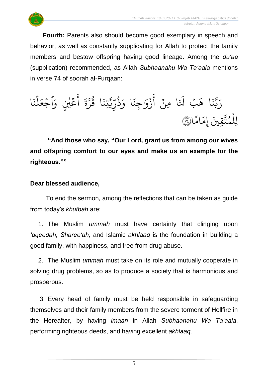

**Fourth:** Parents also should become good exemplary in speech and behavior, as well as constantly supplicating for Allah to protect the family members and bestow offspring having good lineage. Among the *du'aa* (supplication) recommended, as Allah *Subhaanahu Wa Ta'aala* mentions in verse 74 of soorah al-Furqaan:

ا  $\ddot{\cdot}$ ن ل ہ<br>1  $\frac{1}{2}$ اجُعَ  $\frac{1}{2}$ ِ<br>م عَيْنِ وَ و<br>م ر<br>م ِ<br>ج أ  $\ddot{\tilde{}}$  $\frac{1}{2}$ ىر<br>مە ر ا ق و<br>په  $\ddot{\cdot}$ تِن َنْہِ ، ۶<br>په<br>پر ں<br>س ر ذ ُورِ  $\frac{1}{\alpha}$ ا و  $\ddot{\cdot}$ ِجن  $\frac{1}{\alpha}$ زَوْر <u>،</u> ِ<br>ج أ ہ<br>• ا ِمن  $\ddot{\cdot}$  $\tilde{1}$ َل بۡ َ ا ه  $\ddot{\cdot}$ بز یں<br>د بت<br>ب ِ<br>پ ر ا  $\frac{2}{3}$ ام  $\frac{1}{2}$ ِم إ قِيَ َ لِلْمُتَّقِينَ إِمَامًا۞ و ہ<br>1

**"And those who say, "Our Lord, grant us from among our wives and offspring comfort to our eyes and make us an example for the righteous.""**

#### **Dear blessed audience,**

To end the sermon, among the reflections that can be taken as guide from today's *khutbah* are:

1. The Muslim *ummah* must have certainty that clinging upon *'aqeedah, Sharee'ah,* and Islamic *akhlaaq* is the foundation in building a good family, with happiness, and free from drug abuse.

2. The Muslim *ummah* must take on its role and mutually cooperate in solving drug problems, so as to produce a society that is harmonious and prosperous.

3. Every head of family must be held responsible in safeguarding themselves and their family members from the severe torment of Hellfire in the Hereafter, by having *imaan* in Allah *Subhaanahu Wa Ta'aala*, performing righteous deeds, and having excellent *akhlaaq*.

5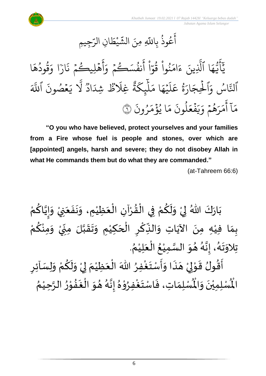

ِجِيمِ ِ<br>س ِن الر ا  $\tilde{\xi}$ ط ي  $\ddot{\phantom{0}}$ ्र<br>अ عُوذُ بِاللَّهِ مِنَ الشَّ ُو<br>په و<br>م ِ<br>ج أ

َ<br>د يَايُّهَا الَّذِينَ ءَامَنُوا قَوّا أَنفُسَكُمْ وَأَهْلِيكُمْ نَارًا وَقُودُهَا  $\lambda$ ه ود ق و<br>م و<br>په ر<br>ہ ا و ֦֓<br>ׇ֧֛֛֓ ار  $\ddot{\cdot}$ هۡلِيڪُمۡ ذَ  $\frac{1}{2}$ و  $\frac{1}{2}$ ِ<br>ج أ  $\frac{1}{\alpha}$ ِ<br>نفُسَڪُمۡ وَ  $\frac{1}{2}$ و و<br>د ِ<br>ج أ  $\frac{1}{2}$ ا  $\frac{1}{\epsilon}$ نُوا قُوَّ و<br>په  $\frac{1}{2}$ ُ  $\frac{1}{2}$ ام  $\tilde{\epsilon}$ ء ِينَ ِ<br>آ ا الَّذِ ر<br>م ه و<br>مم سَ<br>ڊ ِ<br>ج  $\overline{\phantom{a}}$ ِ<br>آک اللّة  $\ddot{\cdot}$ مۡصُونَ و  $\frac{1}{2}$ ِرِ ي یہ<br>1 َل وو<br>^ اد ر<br>ا .<br>لَاڭُ شِدَ ِغَل وٍرٍ<br>ٌ' ة ر<br>م ِك ئ بر<br>آ  $\mu$  $\frac{1}{2}$ ا م ر<br>م ه ي  $\ddot{\phantom{0}}$ ر<br>آ  $\mu$ ِ<br>ح ة<br>قاعَ ور ِ<br>پ ار  $\tilde{\xi}$ الحِجَ ہ<br>1 َ<br>م اس وَا و<br>. ِ<br>په ٱَل  $\ddot{\cdot}$ ون ر ُو  $\frac{1}{2}$ م ؤ ا ي ہ<br>\$ ُو  $\frac{1}{2}$ ر<br>م  $\ddot{\cdot}$ لمونَ و<br>ا  $\tilde{\phantom{a}}$ ع ف  $\ddot{\cdot}$  $\tilde{\cdot}$ ر<br>به  $\frac{1}{c}$ هُمْ وَ  $\frac{1}{2}$ و<br>ج  $\overline{a}$ ر<br>ر  $\frac{1}{2}$ ر<br>م ے<br>آ آ أ مَآ أَمَرَهُمۡ وَيَفۡعَلُونَ مَا يُؤۡمَرُونَ ۞

**"O you who have believed, protect yourselves and your families from a Fire whose fuel is people and stones, over which are [appointed] angels, harsh and severe; they do not disobey Allah in what He commands them but do what they are commanded."**

(at-Tahreem 66:6)

ْ بَارَكَ اللّهُ لِيْ وَلَكُمْ فِي الْقُرْآنِ الْعَظِيْمِ، وَنَفَعَنِيْ وَإِيَّاكُمْ َ  $\frac{1}{2}$  $\ddot{\phantom{0}}$  $\tilde{\cdot}$ ْ  $\frac{1}{2}$ ֦֧֦֧֦֧֦֧֦֟֜֜֜֜֜֜֜֜<br>֧ׅׅ֝֜֜֜֜֜֜֜֜֜֜֜֝֜֜֝֜<del>֟</del> ْ  $\frac{9}{4}$ ֦֧֦֧֦֧֦֧֦֦֜֜֜֜֜֜֜֜֜<br>֧ׅׅ֝֜֜֜֜֜֜֜֜֜֜֝֜֜֝֜<del>֛</del> ْ <u>ہ</u>  $\tilde{\mathbf{r}}$  $\frac{1}{2}$ ْ  $\frac{1}{2}$  $\ddot{\phantom{0}}$ ْ <u>ل</u> ن<br>• !<br>-<br>- $\frac{1}{2}$ ْ بِمَا فِيْهِ مِنَ الآيَاتِ وَالنِّكْرِ الْحَكِيْمِ وَتَقَبَّلَ مِنِّيْ وَمِنْكُمْ <u>ل</u> ْ  $\frac{1}{2}$ ْ .<br>ب  $\sum$ ن<br>ا  $\frac{1}{2}$  $\frac{1}{2}$  $\frac{1}{2}$ ់<br>រ  $\overline{\phantom{a}}$ ْ  $\overline{\phantom{a}}$ ؚ<br>م  $\frac{1}{2}$ ์ $\frac{1}{2}$ ِ<br>پُ  $\ddot{\phantom{0}}$ ់<br>រ  $\frac{1}{2}$ . ़<br>१ تِلاوَتَهُ، إِنَّهُ هُوَ السَّمِيْعُ الْعَلِيْمُ ْ َ ֦֧֦֧֦֧֦֧֦֧֦֧֦֧֜֜֜֜֓֓<br>֧ׅׅ֝֜֜֜֜֜֜֜֜֜֜֬֜֜֜֜֬֟֓֟ ُ ْ ا<br>ما  $\frac{1}{2}$  $\frac{1}{2}$ و<br>گ بة<br>•  $\frac{1}{2}$ .<br>ر<br>ا  $\ddot{\phantom{0}}$  $\frac{1}{2}$ ُأَقُولُ قَوْلِيْ هَذَا وَأَسْتَغْفِرُ اللّٰهَ الْعَظِيْمَ لِيْ وَلَكُمْ وَلِسَاْئِرِ ِ<br>وفيات  $\ddot{\ }$ न<br>न<br>न  $\frac{1}{2}$  $\ddot{\cdot}$  $\overline{a}$ ំ<br>, لمح י<br>י  $\frac{1}{2}$ و<br>پيد -<br>پنج  $\sum$  $\tilde{\cdot}$ ْ <u>ہ</u>  $\tilde{\mathbf{r}}$  $\tilde{\cdot}$ ֦֧֦֧<u>֚</u> إ  $\frac{1}{2}$ ْ  $\frac{1}{2}$ ֦֧֦֧֦֧֦֧֦֧֦֧֦֧֜֜֜֜֓֓<br>֧ׅׅ֝֜֜֜֜֜֜֜֜֜֜֜֜֜֝֜֜֬֟ ُ رِبِ<br>لْمُسْلِمَاتِ، فَاسْتَغْفِرُوْهُ إِنَّهُ هُوَ الْغَفُوْرُ الرَّحِيْمُ ْ ان<br>م  $\frac{1}{2}$ י<br>י  $\frac{1}{2}$  $\ddot{\cdot}$ ر<br>ا  $\frac{1}{2}$ ُ و<br>گ ن<br>•<br>•  $\frac{1}{2}$  $\frac{1}{2}$ ֦֧֦֦֦֝ **ہ**<br>د ْ  $\frac{1}{2}$  $\frac{1}{2}$  $\frac{1}{2}$ ر۔<br>لْمُسْلِمِيْنَ وَالْمُ  $\frac{1}{2}$  $\ddot{\phantom{0}}$ ់<br>( المأ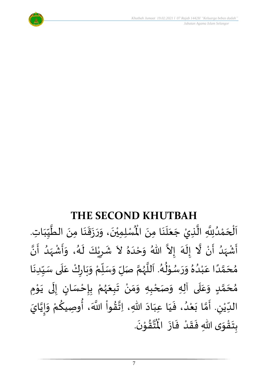

### **THE SECOND KHUTBAH**

ر مدى مدى مدى.<br>لِّسْلِمِيْنَ، وَرَزَقَنَا مِنَ الطَّيِّبَاتِ  $\frac{1}{1}$ しんこ  $\frac{1}{2}$ ن<br>ا  $\ddot{\phantom{0}}$ :<br>با<br>◆  $\frac{1}{2}$  $\ddot{\cdot}$  $\frac{1}{2}$  $\tilde{\cdot}$  $\ddot{\phantom{0}}$ ់<br>**រ** اَلْحَمْدُلِلَّهِ الَّذِيْ جَعَلَنَا مِنَ الْمُسْلِمِيْنَ، وَرَزَقَنَا مِنَ الطَّيِّبَاتِ.  $\ddot{\phantom{0}}$  $\ddot{\phantom{0}}$  $\frac{1}{1}$  $\frac{1}{2}$  $\ddot{\phantom{0}}$ ا<br>ا ان<br>ا و<br>و **ٔ**  $\overline{\phantom{a}}$ ֦֧֦֧֦֧֦֧֦֧֦֧֦֧֦֧֜֜֓֓֟֓<br>**֡**  $\overline{\phantom{a}}$ ا<br>ا أَشْهَدُ أَنْ لَّا إِلَهَ إِلاَّ اللّهُ وَحْدَهُ لاَ شَرِيْكَ لَهُ، وَأَشْهَدُ أَنَّ ْ ر<br>پنج و<br>ا  $\frac{1}{2}$ ْ  $\tilde{\mathbf{z}}$ الا ر<br>سا  $\tilde{\cdot}$  $\frac{1}{2}$  $\lambda$  $\frac{1}{2}$ ِ<br>ا  $\tilde{\cdot}$ ا<br>با<br>• -<br>با بر<br>د  $\frac{1}{2}$ ْ  $\frac{1}{2}$  $\tilde{\cdot}$ د<br>گ  $\tilde{\mathbf{r}}$ ْ  $\overline{\phantom{a}}$  $\frac{1}{2}$ مُحَمَّدًا عَبْدُهُ وَرَسُوْلُهُ. اَللَّهُمَّ صَلِّ وَسَلِّمْ وَبَارِكْ عَلَى سَبِّدِنَا  $\ddot{\phantom{0}}$  $\frac{1}{1}$  $\frac{1}{2}$ `<br>أ ِ<br>م ّ<br>وُ  $\ddot{\phantom{0}}$  $\frac{1}{2}$ ៝<br>៝ ์<br>ผู้  $\overline{r}$  $\tilde{\cdot}$ ن<br>م و<br>ر<br>ر ا<br>آ  $\overline{\phantom{a}}$ و<br>گ  $^9$ ֦֧֦֦֦֦֧֦֦֦֧֦֧֦֧֦֝֝֝֟֓֓֟֓֓֟֓<br>**֧** ر<br>م  $\frac{1}{2}$  $\frac{1}{2}$  $\frac{1}{\lambda}$ و<br>و ْ .<br>م ً<br>أ ت<br>م  $\overline{\phantom{a}}$  $\frac{1}{2}$ مُحَمَّدٍ وَعَلَى آلِهِ وَصَحْبِهِ وَمَنْ تَبِعَهُمْ بِإِحْسَانٍ إِلَى يَوْمِ <u>ل</u> تة<br>م  $\overline{\phantom{a}}$  $\frac{1}{2}$ َ ً<br>م  $\tilde{\cdot}$ ֦֧֦֦֧֦֦֦֧֦֦֧֦֧֦֧֦֝֝֝֟֓֓֟֓֓֟֓<br>**֧** ا<br>ما<br>•  $\ddot{\phantom{0}}$ ل  $\frac{1}{2}$ )<br>=<br>= ْ <u>د</u><br>: ៝<br>៝ و<br>ر<br>ر َ  $\ddot{\phantom{0}}$ ْ  $\frac{1}{2}$ ์ $\tilde{\cdot}$ ֦֧<u>֦</u> الدِّيْنِ. أَمَّا بَعْدُ، فَيَا عِبَادَ اللّهِ، اِتَّقُواْ اللَّهَ، أُوصِيكُمْ وَإِيَّايَ اتا<br>م |<br>-<br>-<br>- $\tilde{\cdot}$ ْ ِ<br>م ∫<br>م ْ ُ<br>مو ن<br>\*  $\sim$ َ َ  $\frac{1}{2}$ ٍ<br>ا ំ<br>រ  $\ddot{\phantom{0}}$ تا<br>م  $\frac{1}{2}$ ليا ّٰ<br>ْ  $\frac{1}{\sqrt{2}}$ .  $\ddot{\phantom{0}}$ تقُوْنَ י<br>י  $\frac{1}{2}$ ا<br>این<br>جو ُ<br>مو بِتَقْوَى اللهِ فَقَدْ فَازَ الْمُ  $\ddot{\phantom{0}}$  $\frac{1}{2}$ ْ  $\frac{1}{2}$  $\frac{1}{2}$  $\frac{1}{2}$ ّ<br>مو  $\ddot{\ }$  $\ddot{\cdot}$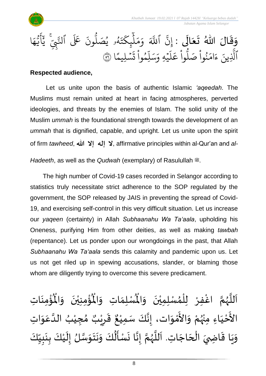



وَقَالَ اللّٰهُ تَعَالَى :  $\ddot{\phantom{0}}$ َ  $\frac{1}{2}$  $\frac{1}{2}$  $\frac{1}{2}$ و<br>ا و<br>4و **يُصَ**لُّ و<br>د و<br>لم  $\ddot{\phantom{0}}$ ت ر<br>م ِك ئ بر<br>آ  $\mathcal{L}$  $\frac{1}{2}$ بر<br>م  $\frac{1}{\alpha}$ و ہ<br>آک اللّة ِ<br>په نَّ اللَّهَ وَمَلْبِكَتَهُو يُصَلُّونَ عَلَى النَّبِيِّ يُايُّهَا إ ِ<br>م ه و<br>س سَ<br>ڊ ِ<br>ج أ َ<br>د يج<br>تنجي ي<del>د</del><br>نيم نَ عَلَى ٱلنَّ ون ا  $\frac{2}{3}$ ن*ش*ليمً ۔<br>م ় ت  $\ddot{\cdot}$ وا ِم و ں<br>آ ل ِ<br>م سر<br>سد  $\frac{1}{2}$ يَّهِ وَ<sub>َ</sub>  $\ddot{\phantom{0}}$ ر<br>آ  $\uplambda$ ِ<br>م ع وا  $\ddot{\cdot}$ سو<br>ا م<br>نُواْ صَلَّ  $\ddot{\cdot}$ ُ  $\frac{1}{2}$ ام  $\tilde{\cdot}$ ء ِينَ ا<br>آباد الَّذِينَ ءَامَنُوا صَلُّوا عَلَيْهِ وَسَلِمُوا تَسْلِيمًا ۞

#### **Respected audience,**

Let us unite upon the basis of authentic Islamic *'aqeedah*. The Muslims must remain united at heart in facing atmospheres, perverted ideologies, and threats by the enemies of Islam. The solid unity of the Muslim *ummah* is the foundational strength towards the development of an *ummah* that is dignified, capable, and upright. Let us unite upon the spirit of firm *tawheed*, الله إلا الله عبد إ $\lambda$ , affirmative principles within al-Qur'an and *al-*

*Hadeeth*, as well as the *Qudwah* (exemplary) of Rasulullah  $\ddot{m}$ .

The high number of Covid-19 cases recorded in Selangor according to statistics truly necessitate strict adherence to the SOP regulated by the government, the SOP released by JAIS in preventing the spread of Covid-19, and exercising self-control in this very difficult situation. Let us increase our *yaqeen* (certainty) in Allah *Subhaanahu Wa Ta'aala*, upholding his Oneness, purifying Him from other deities, as well as making *tawbah* (repentance). Let us ponder upon our wrongdoings in the past, that Allah *Subhaanahu Wa Ta'aala* sends this calamity and pandemic upon us. Let us not get riled up in spewing accusations, slander, or blaming those whom are diligently trying to overcome this severe predicament.

ؙۊؙٝڡؚڹؘٳؾؚ  $\ddot{\phantom{0}}$ ْ<br>با ُْ ُؤْمِنِيْنَ ۖ وَالْمُ  $\tilde{\cdot}$  $\ddot{\phantom{0}}$ ْ ْ<br>بِ  $\mathbf{r}^{\circ}$ ِ<br>لْمُسْلِمَاتِ وَالْمُ  $\tilde{\cdot}$  $\frac{1}{2}$ ِ<br>اَللَّهُمَّ اغْفِرْ لِلْمُسْلِمِيْنَ وَالْمُ  $\tilde{\cdot}$  $\ddot{\phantom{0}}$ ់<br>**រ** ,<br>^ ់<br>ព្រ ِّ<br>و ن<br>م ر<br>ر<br>ر ا<br>آ ً<br>أ الأَحْيَاءِ مِنْهُمْ وَالأَمْوَات، إِنَّكَ سَمِيْعٌ قَرِيْبٌ مُجِيْبُ الدَّعَوَاتِ َ ֦֧<u>֦</u> -<br>ع ْ بو<br>زړ ْ  $\frac{1}{2}$ י<br>ה -<br>ع  $\ddot{\ }$ .<br>م ا<br>ا ُ ֦֧֦֦֧֝<u>֚</u>  $\frac{1}{2}$ ه<br>د ا قَرِرْ  $\overline{\phantom{a}}$  $\ddot{\ddot{\cdot}}$ ٌ ، إِنَّكَ سَمِيْعٌ ْ ن<br>•<br>•  $\frac{1}{2}$ ن<br>م وَيَا قَاضِيَ الْحَاجَاتِ. اَللَّهُمَّ إِنَّا نَسْأَلُكَ وَنَتَوَسَّلُ إِلَيْكَ بِنَبِيِّكَ ر<br>ر ا<br>آ َ  $\overline{\phantom{a}}$ ׁ<br>ו  $\frac{1}{2}$  $\frac{1}{2}$  $\ddot{\ }$  $\frac{1}{2}$  $\frac{1}{1}$  $\frac{1}{2}$ L<br>:  $\ddot{\phantom{0}}$  $\frac{1}{2}$ ْ ें  $\frac{1}{2}$ ان<br>مرا  $\ddot{\ }$  $\ddot{\phantom{0}}$  $\ddot{\phantom{0}}$ َ<br>م ے<br>م  $\frac{1}{2}$  $\ddot{\phantom{0}}$ بة<br>•  $\frac{1}{2}$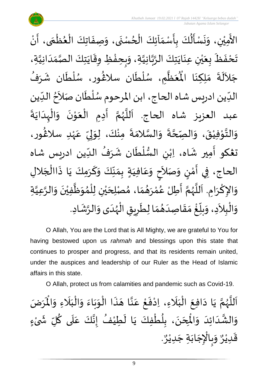

 *Jabatan Agama Islam Selangor*

ْ الأَمِيْنِ، وَنَسْأَلُكَ بِأَسْمَآئِكَ الْحُسْنَى، وَصِفَاتِكَ الْعُظْمَى، أَنْ الله<br>ما ์ ֦֧֦֧֦֧֦֧֦֧֦֧֦֧֦֧֦֧֦֧֝֝֟֓֓֟֓֓<br>**֧** }<br>• ֦֧֦֧֦֧֦֧֦֧֦֧֦֟֜֜֓֟֓<br>֧ׅׅ֦֛֛֝֜֜֜֜֜֜֜֜֜֜֝֜֜֜֜֜  $\ddot{\cdot}$  $\frac{1}{2}$  $\ddot{\phantom{0}}$  $\frac{1}{2}$ ֦֧֦֧֦֧֦֧֦֧֦֧֦֧֧֦֧֦֧ׅ֧֦֝֝֝֟֓֓֜֟֓֟֓֜֓֟֓֟֓<br>**֧**  $\frac{1}{\lambda}$  $\frac{1}{2}$  $\ddot{\cdot}$ ُمُ<br>ا  $\ddot{\tilde{}}$  $\ddot{\phantom{0}}$  $\frac{1}{2}$ ់<br>រ ِ<br>ج تَحْفَظَ بِعَيْنِ عِنَايَتِكَ الرَّبَّانِيَّةِ، وَبِحِفْظِ وِقَايَتِكَ الصَّمَدَانِيَّةِ، اتا<br>ا  $\frac{1}{1}$  $\frac{1}{\sqrt{2}}$ ا<br>ما  $\ddot{\phantom{0}}$  $\ddot{\ddot{\cdot}}$ ֦֧֦֧֦֧<u>֦</u>  $\frac{1}{2}$  $\frac{1}{2}$ اتا<br>ا ن<br>م<br>۱ ا<br>په  $\ddot{\phantom{0}}$  $\ddot{\phantom{0}}$ ់<br>**រ** ي  $\frac{1}{2}$ َ ं<br>◆<br>  $\ddot{\phantom{0}}$  $\ddot{\phantom{0}}$ جَلاَلَةَ مَلِكِنَا الْمُعَظُّمِ ِ<br>ا  $\tilde{\phantom{a}}$  $\ddot{\phantom{0}}$ ا<br>ا  $\frac{1}{2}$ .<br>مو مَلِكِنَا الْمُعَظَّمِ، سُلْطَان سلاڠُور، سُلْطَان شَرَفُ .<br>.<br>•  $\frac{1}{2}$ ُ<br>م  $\mathbf{r}$  $\ddot{\phantom{0}}$ ់<br>**រ** ر<br>م )<br>ፌ  $\ddot{\phantom{0}}$ ۔<br>أ ر<br>ر<br>ر الدِّين ادريس شاه الحاج، ابن المرحوم سُلْطَان صَلاَحُ الدِّين  $\frac{1}{1}$ <sup>ื้</sup> ्<br>र  $\ddot{\phantom{0}}$ ۔<br>ا ر<br>ر<br>ر  $\frac{1}{\sqrt{2}}$ ا<br>بہ عبد العزيز شاه الحاج. اَللَّهُمَّ أَدِمِ الْعَوْنَ وَالْهِدَايَةَ  $\ddot{\phantom{0}}$  $\frac{1}{1}$ ْ ์  $\ddot{\phantom{0}}$ י<br>י  $\frac{1}{2}$ ֦֧<u>֚</u>  $\ddot{\phantom{0}}$ ِ<br>پنج ن<br>م ر<br>ر<br>ر ا<br>ا .<br>آ وَالتَّوْفِيْقَ، وَالصِّحَّةَ وَالسَّلامَةَ مِنْكَ، لِوَلِيِّ عَهْدِ سلاَغُور، )<br>ፌ ٝ<br>ۣ<br>ؙ .<br>م  $\frac{1}{2}$  $\frac{1}{2}$ إ  $\frac{1}{2}$ ْ  $\ddot{\cdot}$  $\frac{1}{2}$ ا<br>ما  $\tilde{\cdot}$  $\ddot{\phantom{0}}$ ة<br>م  $\frac{1}{2}$  $\ddot{\phantom{0}}$ ْ ់<br>់ لة<br>\*\*  $\frac{1}{2}$  $\frac{1}{2}$ تغكو أَمِير شَاه، اِبْنِ السُّلْطَان شَرَفُ الدِّين ادريس شاه ِ.<br>∶َ بر<br>ما ُ  $\ddot{\phantom{0}}$  $\ddot{\phantom{0}}$ ់<br>(  $\frac{3}{2}$ ْ الحاج، فِي أَمْنٍ وَصَلاَحٍ وَعَافِيَةٍ بِمَنَّكَ وَكَرَمِكَ يَا ذَاالْجَلالِ  $\overline{\phantom{a}}$ ֧֦֧֦֚֓֝֝֟  $\ddot{\ddot{\cdot}}$  $\ddot{\phantom{0}}$ َ  $\frac{1}{2}$  $\frac{1}{2}$  $\frac{1}{2}$  $\frac{1}{2}$  $\sum_{i=1}^{n}$ َ .<br>م  $\frac{1}{2}$ ।<br>त َ  $\frac{1}{2}$ <u>ل</u>يا ់<br>ត  $\frac{1}{2}$ وَالإِكْرَامِ. اَللَّهُمَّ أَطِلْ عُمْرَهُمَا، مُصْلِحَيْنِ لِلْمُوَظَّفِيْنَ وَالرَّعِيَّةِ ات<br>ا ان<br>ا  $\tilde{\cdot}$  $\ddot{\phantom{0}}$ ْ ا<br>الم  $\frac{1}{2}$ ๋<br>ለ ់<br>( ْ ي  $\overline{\phantom{a}}$  $\frac{1}{2}$  $\frac{1}{2}$  $\frac{1}{2}$ ْ بر<br>م  $\frac{1}{2}$ ا<br>مح ر<br>ر<br>ر ا<br>آ ا<br>أ  $\ddot{\phantom{0}}$ ٔ<br>م  $\frac{1}{2}$ وَالْبِلاَدِ، وَبِلّغْ مَقَاصِدَهُمَا لِطَرِيقِ الْهُدَى وَالرَّشَادِ.  $\frac{1}{2}$  $\frac{1}{2}$  $\frac{1}{1}$  $\frac{1}{2}$  $\frac{1}{2}$ <u>់</u>  $\frac{1}{\sqrt{2}}$  $\overline{r}$  $\frac{1}{2}$  $\sim$ ْ  $\tilde{\cdot}$ ्<br>रू  $\tilde{\cdot}$  $\frac{1}{1}$ ر<br>ر<br>ر ْ Ï  $\overline{\phantom{a}}$  $\ddot{\phantom{0}}$ 

O Allah, You are the Lord that is All Mighty, we are grateful to You for having bestowed upon us *rahmah* and blessings upon this state that continues to prosper and progress, and that its residents remain united, under the auspices and leadership of our Ruler as the Head of Islamic affairs in this state.

O Allah, protect us from calamities and pandemic such as Covid-19.

ن<br>م اَللَّهُمَّ يَا دَافِعَ الْبَلَاءِ، اِدْفَعْ عَنَّا هَذَا الْوَبَاءَ وَالْبَلَاءِ وَالْمَرَضَ و<br>ر ا<br>آ ً<br>آ يَا دَافِعَ الْبَلَاءِ، اِدْفَعْ عَنَّا هَذَا الْوَبَاءَ وَالْبَلَاءِ وَالْمُ  $\tilde{\cdot}$ ً<br>ن  $\frac{1}{1}$ ْ  $\tilde{\cdot}$  $\frac{1}{2}$  $\ddot{\phantom{0}}$  $\frac{1}{2}$ ْ  $\ddot{\phantom{0}}$  $\overline{\phantom{a}}$ اتا<br>ج .<br>م ֦֧<u>֦</u>  $\ddot{\cdot}$ ْ َ<br>ا َ ֦֧֦֧֦֧֦֧֦֧֦֜֜֜֜֓֓֟֓<br>֧ׅׅ֝֜֜֜֜֜֜֜֜֜֜֜֬֜֜֜֜֬֟  $\ddot{\phantom{0}}$  $\sim$  $\ddot{\phantom{0}}$ وَالشَّدَائِدَ وَالْمِحَنَ، بِلُطْفِكَ يَا لَطِيْفُ إِنَّكَ عَلَى كُلِّ شَىْءٍ َ نه<br>په  $\tilde{\cdot}$ ْ ์ $\frac{1}{2}$ ُ َ<br>ا .<br>م اله<br>بان<br>با  $\frac{1}{2}$ ُ  $\tilde{\mathbf{r}}$  $\ddot{\phantom{0}}$ ْ ٍ<br>ا <u>ر</u><br>- $\ddot{\phantom{0}}$  $\overline{\phantom{a}}$ )<br>°  $\frac{1}{2}$ َ . و<br>م وَبِالْإِجَابَةِ جَدِيْرٌ ٝ<br>ؙ  $\overline{\phantom{a}}$  $\ddot{\phantom{0}}$  $\ddot{\phantom{0}}$ ֦֧֦֧֦֧֦֧֦֧֦֧֦֧֜֜֜֓֓֓<br>֧֝֜֜֜֜֜֜֜֜֜֟֓֬֝֓֟ ر<br>م  $\frac{1}{2}$ و<br>م قَدِيْرٌ ٝ<br>ؙ  $\frac{1}{2}$